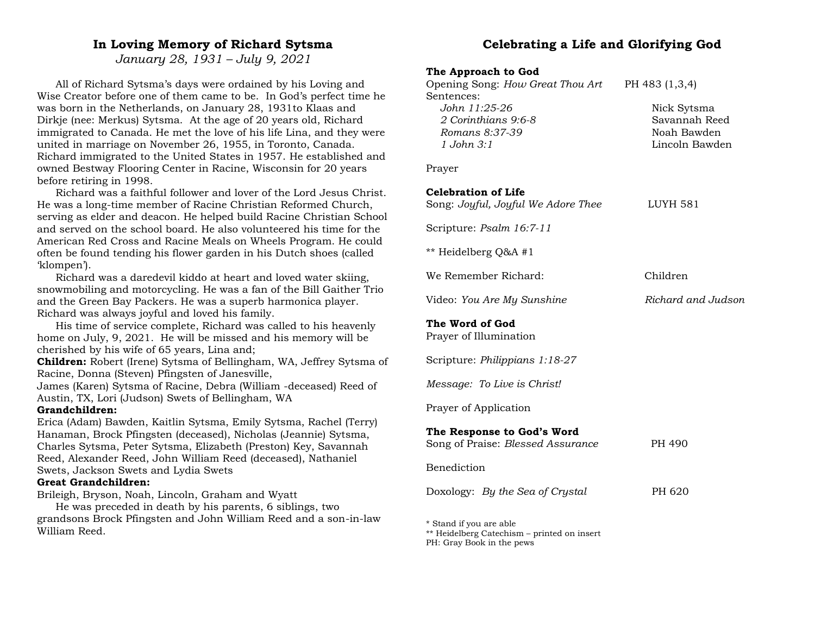## **In Loving Memory of Richard Sytsma**

*January 28, 1931 – July 9, 2021*

All of Richard Sytsma's days were ordained by his Loving and Wise Creator before one of them came to be. In God's perfect time he was born in the Netherlands, on January 28, 1931to Klaas and Dirkje (nee: Merkus) Sytsma. At the age of 20 years old, Richard immigrated to Canada. He met the love of his life Lina, and they were united in marriage on November 26, 1955, in Toronto, Canada. Richard immigrated to the United States in 1957. He established and owned Bestway Flooring Center in Racine, Wisconsin for 20 years before retiring in 1998.

Richard was a faithful follower and lover of the Lord Jesus Christ. He was a long-time member of Racine Christian Reformed Church, serving as elder and deacon. He helped build Racine Christian School and served on the school board. He also volunteered his time for the American Red Cross and Racine Meals on Wheels Program. He could often be found tending his flower garden in his Dutch shoes (called 'klompen').

Richard was a daredevil kiddo at heart and loved water skiing, snowmobiling and motorcycling. He was a fan of the Bill Gaither Trio and the Green Bay Packers. He was a superb harmonica player. Richard was always joyful and loved his family.

His time of service complete, Richard was called to his heavenly home on July, 9, 2021. He will be missed and his memory will be cherished by his wife of 65 years, Lina and;

**Children:** Robert (Irene) Sytsma of Bellingham, WA, Jeffrey Sytsma of Racine, Donna (Steven) Pfingsten of Janesville,

James (Karen) Sytsma of Racine, Debra (William -deceased) Reed of Austin, TX, Lori (Judson) Swets of Bellingham, WA

### **Grandchildren:**

Erica (Adam) Bawden, Kaitlin Sytsma, Emily Sytsma, Rachel (Terry) Hanaman, Brock Pfingsten (deceased), Nicholas (Jeannie) Sytsma, Charles Sytsma, Peter Sytsma, Elizabeth (Preston) Key, Savannah Reed, Alexander Reed, John William Reed (deceased), Nathaniel Swets, Jackson Swets and Lydia Swets

## **Great Grandchildren:**

Brileigh, Bryson, Noah, Lincoln, Graham and Wyatt

He was preceded in death by his parents, 6 siblings, two grandsons Brock Pfingsten and John William Reed and a son-in-law William Reed.

# **Celebrating a Life and Glorifying God**

| The Approach to God<br>Opening Song: How Great Thou Art<br>Sentences:<br>John 11:25-26<br>2 Corinthians 9:6-8<br>Romans 8:37-39<br>$1$ John $3:1$ | PH 483 (1,3,4)<br>Nick Sytsma<br>Savannah Reed<br>Noah Bawden<br>Lincoln Bawden |
|---------------------------------------------------------------------------------------------------------------------------------------------------|---------------------------------------------------------------------------------|
| Prayer                                                                                                                                            |                                                                                 |
| Celebration of Life<br>Song: Joyful, Joyful We Adore Thee                                                                                         | <b>LUYH 581</b>                                                                 |
| Scripture: Psalm 16:7-11                                                                                                                          |                                                                                 |
| ** Heidelberg Q&A #1                                                                                                                              |                                                                                 |
| We Remember Richard:                                                                                                                              | Children                                                                        |
| Video: You Are My Sunshine                                                                                                                        | Richard and Judson                                                              |
| The Word of God<br>Prayer of Illumination                                                                                                         |                                                                                 |
| Scripture: Philippians 1:18-27                                                                                                                    |                                                                                 |
| Message: To Live is Christ!                                                                                                                       |                                                                                 |
| Prayer of Application                                                                                                                             |                                                                                 |
| The Response to God's Word<br>Song of Praise: Blessed Assurance                                                                                   | PH 490                                                                          |
| Benediction                                                                                                                                       |                                                                                 |
| Doxology: By the Sea of Crystal                                                                                                                   | PH 620                                                                          |
|                                                                                                                                                   |                                                                                 |

\* Stand if you are able

\*\* Heidelberg Catechism – printed on insert PH: Gray Book in the pews